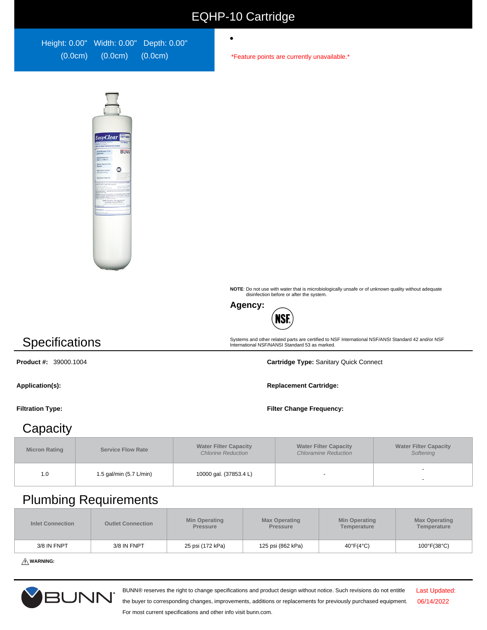### EQHP-10 Cartridge

 $\bullet$ 

Height: 0.00" Width: 0.00" Depth: 0.00" (0.0cm) (0.0cm) (0.0cm)

\*Feature points are currently unavailable.\*



**NOTE**: Do not use with water that is microbiologically unsafe or of unknown quality without adequate disinfection before or after the system.

Systems and other related parts are certified to NSF International NSF/ANSI Standard 42 and/or NSF International NSF/NANSI Standard 53 as marked.



## **Specifications**

**Product #:** 39000.1004 **Cartridge Type:** Sanitary Quick Connect

**Application(s): Replacement Cartridge:**

**Filtration Type: Filter Change Frequency:**

#### **Capacity**

| <b>Micron Rating</b> | <b>Service Flow Rate</b> | <b>Water Filter Capacity</b><br><b>Chlorine Reduction</b> | <b>Water Filter Capacity</b><br><b>Chloramine Reduction</b> | <b>Water Filter Capacity</b><br>Softening |  |
|----------------------|--------------------------|-----------------------------------------------------------|-------------------------------------------------------------|-------------------------------------------|--|
| 1.0                  | 1.5 gal/min (5.7 L/min)  | 10000 gal. (37853.4 L)                                    |                                                             |                                           |  |

#### Plumbing Requirements

| <b>Inlet Connection</b> | <b>Min Operating</b><br><b>Outlet Connection</b><br><b>Pressure</b> |                  | <b>Max Operating</b><br><b>Pressure</b> | <b>Min Operating</b><br>Temperature | <b>Max Operating</b><br>Temperature |  |
|-------------------------|---------------------------------------------------------------------|------------------|-----------------------------------------|-------------------------------------|-------------------------------------|--|
| 3/8 IN FNPT             | 3/8 IN FNPT                                                         | 25 psi (172 kPa) | 125 psi (862 kPa)                       | $40^{\circ}F(4^{\circ}C)$           | $100^{\circ}F(38^{\circ}C)$         |  |

**WARNING:**



BUNN® reserves the right to change specifications and product design without notice. Such revisions do not entitle

Last Updated: 06/14/2022

the buyer to corresponding changes, improvements, additions or replacements for previously purchased equipment. For most current specifications and other info visit bunn.com.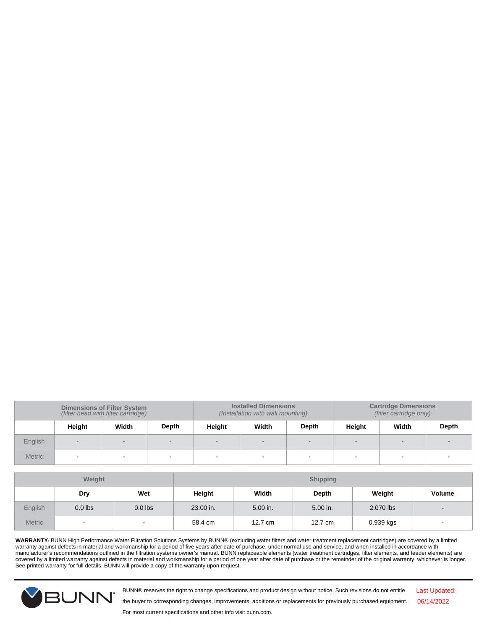| <b>Dimensions of Filter System</b><br>(filter head with filter cartridge) |        |       |       | <b>Installed Dimensions</b> | <b>Cartridge Dimensions</b><br>(filter cartridge only)<br>(Installation with wall mounting) |       |        |       |       |
|---------------------------------------------------------------------------|--------|-------|-------|-----------------------------|---------------------------------------------------------------------------------------------|-------|--------|-------|-------|
|                                                                           | Height | Width | Depth | Height                      | Width                                                                                       | Depth | Height | Width | Depth |
| English                                                                   | $\sim$ |       |       | $\sim$                      | $\sim$                                                                                      |       |        |       |       |
| <b>Metric</b>                                                             |        |       |       | -                           |                                                                                             |       |        | -     |       |

| <b>Weight</b>  |                          |                          | <b>Shipping</b> |          |          |           |                              |
|----------------|--------------------------|--------------------------|-----------------|----------|----------|-----------|------------------------------|
|                | Dry                      | Wet                      | Height          | Width    | Depth    | Weight    | <b>Volume</b>                |
| <b>English</b> | $0.0$ lbs                | $0.0$ lbs                | 23.00 in.       | 5.00 in. | 5.00 in. | 2.070 lbs | $\qquad \qquad \blacksquare$ |
| <b>Metric</b>  | $\overline{\phantom{a}}$ | $\overline{\phantom{a}}$ | 58.4 cm         | 12.7 cm  | 12.7 cm  | 0.939 kgs | $\overline{\phantom{a}}$     |

WARRANTY: BUNN High Performance Water Filtration Solutions Systems by BUNN® (excluding water filters and water treatment replacement cartridges) are covered by a limited<br>manufacturer's recommendations outlined in the filt See printed warranty for full details. BUNN will provide a copy of the warranty upon request.



BUNN® reserves the right to change specifications and product design without notice. Such revisions do not entitle

Last Updated: 06/14/2022

the buyer to corresponding changes, improvements, additions or replacements for previously purchased equipment.

For most current specifications and other info visit bunn.com.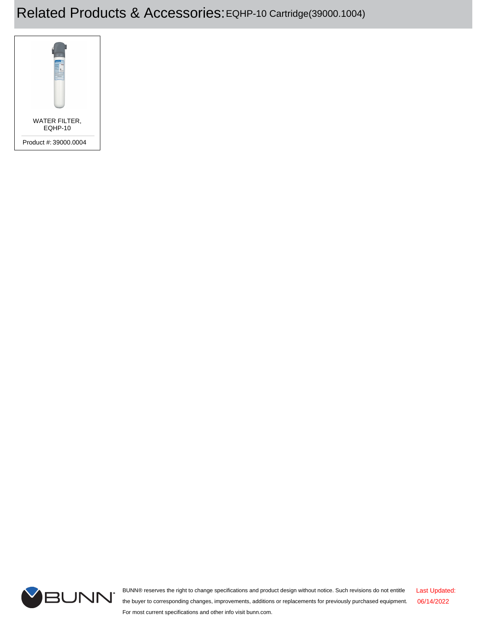# Related Products & Accessories:EQHP-10 Cartridge(39000.1004)





BUNN® reserves the right to change specifications and product design without notice. Such revisions do not entitle the buyer to corresponding changes, improvements, additions or replacements for previously purchased equipment. For most current specifications and other info visit bunn.com. Last Updated: 06/14/2022